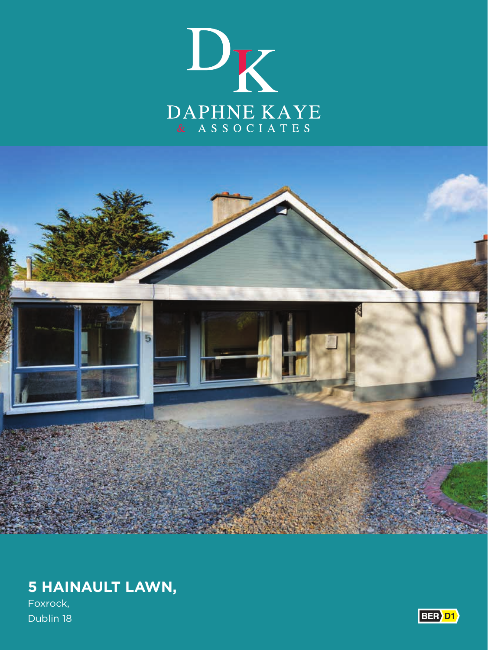



# **5 HAINAULT LAWN,**

Foxrock, Dublin 18

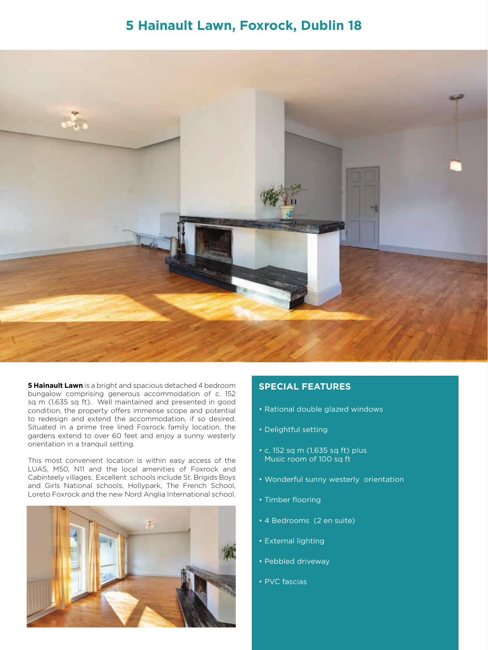# **5 Hainault Lawn, Foxrock, Dublin 18**



**5 Hainault Lawn** is a bright and spacious detached 4 bedroom bungalow comprising generous accommodation of c. 152 sq m (1,635 sq ft). Well maintained and presented in good condition, the property offers immense scope and potential to redesign and extend the accommodation, if so desired. Situated in a prime tree lined Foxrock family location, the gardens extend to over 60 feet and enjoy a sunny westerly orientation in a tranquil setting.

This most convenient location is within easy access of the LUAS, M50, N11 and the local amenities of Foxrock and Cabinteely villages. Excellent schools include St. Brigids Boys and Girls National schools, Hollypark, The French School, Loreto Foxrock and the new Nord Anglia International school.



## **SPECIAL FEATURES**

- Rational double glazed windows
- Delightful setting
- c. 152 sq m (1,635 sq ft) plus Music room of 100 sq ft
- Wonderful sunny westerly orientation
- Timber flooring
- 4 Bedrooms (2 en suite)
- External lighting
- Pebbled driveway
- PVC fascias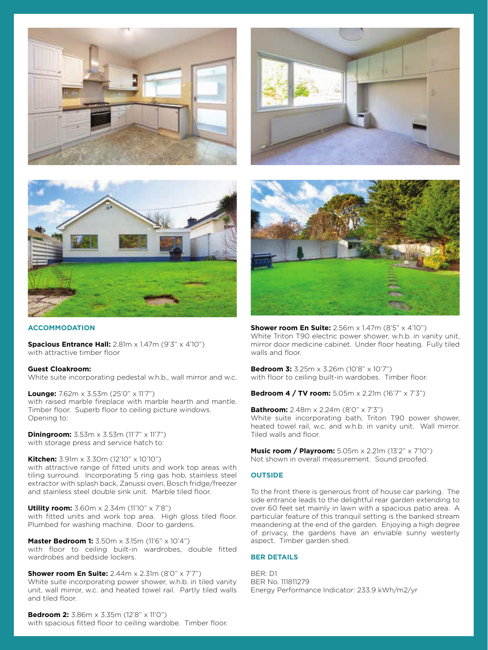





#### **ACCOMMODATION**

**Spacious Entrance Hall:** 2.81m x 1.47m (9'3" x 4'10") with attractive timber floor

#### **Guest Cloakroom:**

White suite incorporating pedestal w.h.b., wall mirror and w.c.

**Lounge:** 7.62m x 3.53m (25'0" x 11'7") with raised marble fireplace with marble hearth and mantle. Timber floor. Superb floor to ceiling picture windows. Opening to:

**Diningroom:** 3.53m x 3.53m (11'7" x 11'7") with storage press and service hatch to:

**Kitchen:** 3.91m x 3.30m (12'10" x 10'10") with attractive range of fitted units and work top areas with tiling surround. Incorporating 5 ring gas hob, stainless steel extractor with splash back, Zanussi oven, Bosch fridge/freezer and stainless steel double sink unit. Marble tiled floor.

**Utility room:** 3.60m x 2.34m (11'10" x 7'8") with fitted units and work top area. High gloss tiled floor. Plumbed for washing machine. Door to gardens.

**Master Bedroom 1:** 3.50m x 3.15m (11'6" x 10'4") with floor to ceiling built-in wardrobes, double fitted wardrobes and bedside lockers.

**Shower room En Suite:** 2.44m x 2.31m (8'0" x 7'7") White suite incorporating power shower, w.h.b. in tiled vanity unit, wall mirror, w.c. and heated towel rail. Partly tiled walls and tiled floor.

**Bedroom 2:** 3.86m x 3.35m (12'8" x 11'0") with spacious fitted floor to ceiling wardobe. Timber floor.



**Shower room En Suite:** 2.56m x 1.47m (8'5" x 4'10") White Triton T90 electric power shower, w.h.b. in vanity unit, mirror door medicine cabinet. Under floor heating. Fully tiled walls and floor.

**Bedroom 3:** 3.25m x 3.26m (10'8" x 10'7") with floor to ceiling built-in wardobes. Timber floor.

**Bedroom 4 / TV room:** 5.05m x 2.21m (16'7" x 7'3")

**Bathroom:** 2.48m x 2.24m (8'0" x 7'3") White suite incorporating bath, Triton T90 power shower, heated towel rail, w.c. and w.h.b. in vanity unit. Wall mirror. Tiled walls and floor.

**Music room / Playroom:** 5.05m x 2.21m (13'2" x 7'10") Not shown in overall measurement. Sound proofed.

#### **OUTSIDE**

To the front there is generous front of house car parking. The side entrance leads to the delightful rear garden extending to over 60 feet set mainly in lawn with a spacious patio area. A particular feature of this tranquil setting is the banked stream meandering at the end of the garden. Enjoying a high degree of privacy, the gardens have an enviable sunny westerly aspect. Timber garden shed.

#### **BER DETAILS**

BER: D1 BER No. 111811279 Energy Performance Indicator: 233.9 kWh/m2/yr